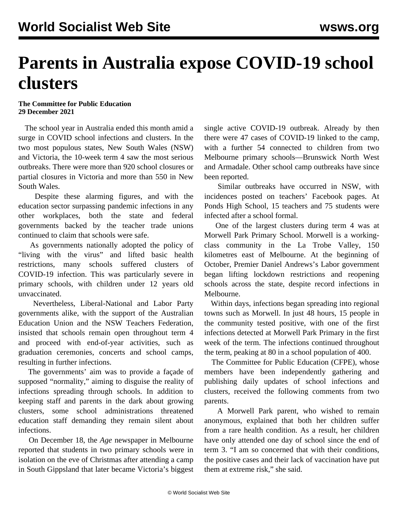## **Parents in Australia expose COVID-19 school clusters**

## **The Committee for Public Education 29 December 2021**

 The school year in Australia ended this month amid a surge in COVID school infections and clusters. In the two most populous states, New South Wales (NSW) and Victoria, the 10-week term 4 saw the most serious outbreaks. There were more than 920 school closures or partial closures in Victoria and more than 550 in New South Wales.

 Despite these alarming figures, and with the education sector surpassing pandemic infections in any other workplaces, both the state and federal governments backed by the teacher trade unions continued to claim that schools were safe.

 As governments nationally adopted the policy of "living with the virus" and lifted basic health restrictions, many schools suffered clusters of COVID-19 infection. This was particularly severe in primary schools, with children under 12 years old unvaccinated.

 Nevertheless, Liberal-National and Labor Party governments alike, with the support of the Australian Education Union and the NSW Teachers Federation, insisted that schools remain open throughout term 4 and proceed with end-of-year activities, such as graduation ceremonies, concerts and school camps, resulting in further infections.

 The governments' aim was to provide a façade of supposed "normality," aiming to disguise the reality of infections spreading through schools. In addition to keeping staff and parents in the dark about growing clusters, some school administrations threatened education staff demanding they remain silent about infections.

 On December 18, the *Age* newspaper in Melbourne reported that students in two primary schools were in isolation on the eve of Christmas after attending a camp in South Gippsland that later became Victoria's biggest single active COVID-19 outbreak. Already by then there were 47 cases of COVID-19 linked to the camp, with a further 54 connected to children from two Melbourne primary schools—Brunswick North West and Armadale. Other school camp outbreaks have since been reported.

 Similar outbreaks have occurred in NSW, with incidences posted on teachers' Facebook pages. At Ponds High School, 15 teachers and 75 students were infected after a school formal.

 One of the largest clusters during term 4 was at Morwell Park Primary School. Morwell is a workingclass community in the La Trobe Valley, 150 kilometres east of Melbourne. At the beginning of October, Premier Daniel Andrews's Labor government began lifting lockdown restrictions and reopening schools across the state, despite record infections in Melbourne.

 Within days, infections began spreading into regional towns such as Morwell. In just 48 hours, 15 people in the community tested positive, with one of the first infections detected at Morwell Park Primary in the first week of the term. The infections continued throughout the term, peaking at 80 in a school population of 400.

 The Committee for Public Education (CFPE), whose members have been independently gathering and publishing daily updates of school infections and clusters, received the following comments from two parents.

 A Morwell Park parent, who wished to remain anonymous, explained that both her children suffer from a rare health condition. As a result, her children have only attended one day of school since the end of term 3. "I am so concerned that with their conditions, the positive cases and their lack of vaccination have put them at extreme risk," she said.